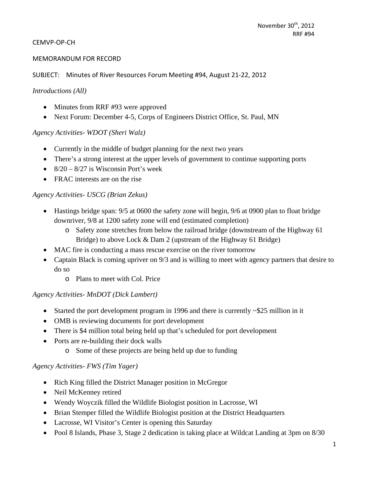#### CEMVP‐OP‐CH

#### MEMORANDUM FOR RECORD

SUBJECT: Minutes of River Resources Forum Meeting #94, August 21‐22, 2012

#### *Introductions (All)*

- Minutes from RRF #93 were approved
- Next Forum: December 4-5, Corps of Engineers District Office, St. Paul, MN

#### *Agency Activities- WDOT (Sheri Walz)*

- Currently in the middle of budget planning for the next two years
- There's a strong interest at the upper levels of government to continue supporting ports
- $\bullet$  8/20 8/27 is Wisconsin Port's week
- FRAC interests are on the rise

#### *Agency Activities- USCG (Brian Zekus)*

- Hastings bridge span: 9/5 at 0600 the safety zone will begin, 9/6 at 0900 plan to float bridge downriver, 9/8 at 1200 safety zone will end (estimated completion)
	- o Safety zone stretches from below the railroad bridge (downstream of the Highway 61 Bridge) to above Lock & Dam 2 (upstream of the Highway 61 Bridge)
- MAC fire is conducting a mass rescue exercise on the river tomorrow
- Captain Black is coming upriver on 9/3 and is willing to meet with agency partners that desire to do so
	- o Plans to meet with Col. Price

#### *Agency Activities- MnDOT (Dick Lambert)*

- Started the port development program in 1996 and there is currently ~\$25 million in it
- OMB is reviewing documents for port development
- There is \$4 million total being held up that's scheduled for port development
- Ports are re-building their dock walls
	- o Some of these projects are being held up due to funding

#### *Agency Activities- FWS (Tim Yager)*

- Rich King filled the District Manager position in McGregor
- Neil McKenney retired
- Wendy Woyczik filled the Wildlife Biologist position in Lacrosse, WI
- Brian Stemper filled the Wildlife Biologist position at the District Headquarters
- Lacrosse, WI Visitor's Center is opening this Saturday
- Pool 8 Islands, Phase 3, Stage 2 dedication is taking place at Wildcat Landing at 3pm on 8/30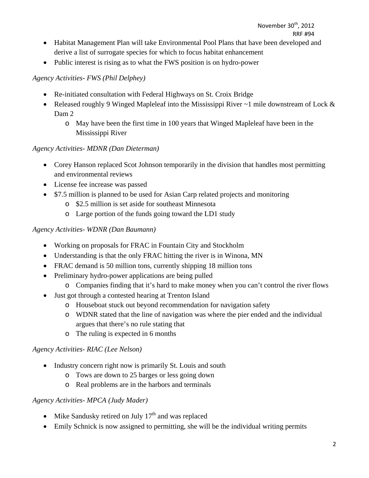- Habitat Management Plan will take Environmental Pool Plans that have been developed and derive a list of surrogate species for which to focus habitat enhancement
- Public interest is rising as to what the FWS position is on hydro-power

## *Agency Activities- FWS (Phil Delphey)*

- Re-initiated consultation with Federal Highways on St. Croix Bridge
- Released roughly 9 Winged Mapleleaf into the Mississippi River ~1 mile downstream of Lock & Dam 2
	- o May have been the first time in 100 years that Winged Mapleleaf have been in the Mississippi River

## *Agency Activities- MDNR (Dan Dieterman)*

- Corey Hanson replaced Scot Johnson temporarily in the division that handles most permitting and environmental reviews
- License fee increase was passed
- \$7.5 million is planned to be used for Asian Carp related projects and monitoring
	- o \$2.5 million is set aside for southeast Minnesota
	- o Large portion of the funds going toward the LD1 study

## *Agency Activities- WDNR (Dan Baumann)*

- Working on proposals for FRAC in Fountain City and Stockholm
- Understanding is that the only FRAC hitting the river is in Winona, MN
- FRAC demand is 50 million tons, currently shipping 18 million tons
- Preliminary hydro-power applications are being pulled
	- o Companies finding that it's hard to make money when you can't control the river flows
- Just got through a contested hearing at Trenton Island
	- o Houseboat stuck out beyond recommendation for navigation safety
	- o WDNR stated that the line of navigation was where the pier ended and the individual argues that there's no rule stating that
	- o The ruling is expected in 6 months

## *Agency Activities- RIAC (Lee Nelson)*

- Industry concern right now is primarily St. Louis and south
	- o Tows are down to 25 barges or less going down
	- o Real problems are in the harbors and terminals

## *Agency Activities- MPCA (Judy Mader)*

- Mike Sandusky retired on July  $17<sup>th</sup>$  and was replaced
- Emily Schnick is now assigned to permitting, she will be the individual writing permits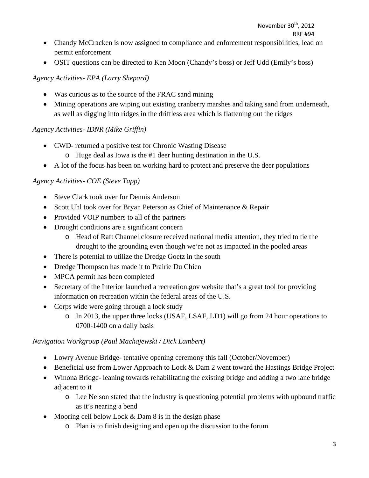- Chandy McCracken is now assigned to compliance and enforcement responsibilities, lead on permit enforcement
- OSIT questions can be directed to Ken Moon (Chandy's boss) or Jeff Udd (Emily's boss)

## *Agency Activities- EPA (Larry Shepard)*

- Was curious as to the source of the FRAC sand mining
- Mining operations are wiping out existing cranberry marshes and taking sand from underneath, as well as digging into ridges in the driftless area which is flattening out the ridges

## *Agency Activities- IDNR (Mike Griffin)*

- CWD- returned a positive test for Chronic Wasting Disease
	- o Huge deal as Iowa is the #1 deer hunting destination in the U.S.
- A lot of the focus has been on working hard to protect and preserve the deer populations

## *Agency Activities- COE (Steve Tapp)*

- Steve Clark took over for Dennis Anderson
- Scott Uhl took over for Bryan Peterson as Chief of Maintenance & Repair
- Provided VOIP numbers to all of the partners
- Drought conditions are a significant concern
	- o Head of Raft Channel closure received national media attention, they tried to tie the drought to the grounding even though we're not as impacted in the pooled areas
- There is potential to utilize the Dredge Goetz in the south
- Dredge Thompson has made it to Prairie Du Chien
- MPCA permit has been completed
- Secretary of the Interior launched a recreation.gov website that's a great tool for providing information on recreation within the federal areas of the U.S.
- Corps wide were going through a lock study
	- o In 2013, the upper three locks (USAF, LSAF, LD1) will go from 24 hour operations to 0700-1400 on a daily basis

## *Navigation Workgroup (Paul Machajewski / Dick Lambert)*

- Lowry Avenue Bridge- tentative opening ceremony this fall (October/November)
- Beneficial use from Lower Approach to Lock & Dam 2 went toward the Hastings Bridge Project
- Winona Bridge- leaning towards rehabilitating the existing bridge and adding a two lane bridge adjacent to it
	- o Lee Nelson stated that the industry is questioning potential problems with upbound traffic as it's nearing a bend
- Mooring cell below Lock  $&$  Dam  $\delta$  is in the design phase
	- o Plan is to finish designing and open up the discussion to the forum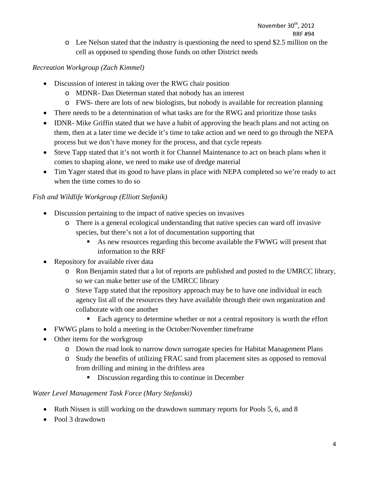o Lee Nelson stated that the industry is questioning the need to spend \$2.5 million on the cell as opposed to spending those funds on other District needs

## *Recreation Workgroup (Zach Kimmel)*

- Discussion of interest in taking over the RWG chair position
	- o MDNR- Dan Dieterman stated that nobody has an interest
	- o FWS- there are lots of new biologists, but nobody is available for recreation planning
- There needs to be a determination of what tasks are for the RWG and prioritize those tasks
- IDNR- Mike Griffin stated that we have a habit of approving the beach plans and not acting on them, then at a later time we decide it's time to take action and we need to go through the NEPA process but we don't have money for the process, and that cycle repeats
- Steve Tapp stated that it's not worth it for Channel Maintenance to act on beach plans when it comes to shaping alone, we need to make use of dredge material
- Tim Yager stated that its good to have plans in place with NEPA completed so we're ready to act when the time comes to do so

## *Fish and Wildlife Workgroup (Elliott Stefanik)*

- Discussion pertaining to the impact of native species on invasives
	- o There is a general ecological understanding that native species can ward off invasive species, but there's not a lot of documentation supporting that
		- As new resources regarding this become available the FWWG will present that information to the RRF
- Repository for available river data
	- o Ron Benjamin stated that a lot of reports are published and posted to the UMRCC library, so we can make better use of the UMRCC library
	- o Steve Tapp stated that the repository approach may be to have one individual in each agency list all of the resources they have available through their own organization and collaborate with one another
		- Each agency to determine whether or not a central repository is worth the effort
- FWWG plans to hold a meeting in the October/November timeframe
- Other items for the workgroup
	- o Down the road look to narrow down surrogate species for Habitat Management Plans
	- o Study the benefits of utilizing FRAC sand from placement sites as opposed to removal from drilling and mining in the driftless area
		- Discussion regarding this to continue in December

#### *Water Level Management Task Force (Mary Stefanski)*

- Ruth Nissen is still working on the drawdown summary reports for Pools 5, 6, and 8
- Pool 3 drawdown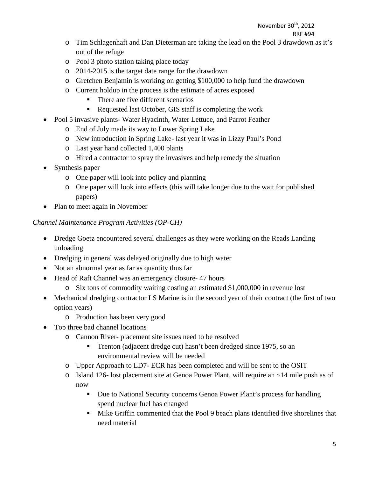# November 30<sup>th</sup>, 2012

## RRF #94

- o Tim Schlagenhaft and Dan Dieterman are taking the lead on the Pool 3 drawdown as it's out of the refuge
- o Pool 3 photo station taking place today
- o 2014-2015 is the target date range for the drawdown
- o Gretchen Benjamin is working on getting \$100,000 to help fund the drawdown
- o Current holdup in the process is the estimate of acres exposed
	- There are five different scenarios
	- Requested last October, GIS staff is completing the work
- Pool 5 invasive plants- Water Hyacinth, Water Lettuce, and Parrot Feather
	- o End of July made its way to Lower Spring Lake
	- o New introduction in Spring Lake- last year it was in Lizzy Paul's Pond
	- o Last year hand collected 1,400 plants
	- o Hired a contractor to spray the invasives and help remedy the situation
- Synthesis paper
	- o One paper will look into policy and planning
	- o One paper will look into effects (this will take longer due to the wait for published papers)
- Plan to meet again in November

## *Channel Maintenance Program Activities (OP-CH)*

- Dredge Goetz encountered several challenges as they were working on the Reads Landing unloading
- Dredging in general was delayed originally due to high water
- Not an abnormal year as far as quantity thus far
- Head of Raft Channel was an emergency closure- 47 hours
	- o Six tons of commodity waiting costing an estimated \$1,000,000 in revenue lost
- Mechanical dredging contractor LS Marine is in the second year of their contract (the first of two option years)
	- o Production has been very good
- Top three bad channel locations
	- o Cannon River- placement site issues need to be resolved
		- Trenton (adjacent dredge cut) hasn't been dredged since 1975, so an environmental review will be needed
	- o Upper Approach to LD7- ECR has been completed and will be sent to the OSIT
	- o Island 126- lost placement site at Genoa Power Plant, will require an ~14 mile push as of now
		- Due to National Security concerns Genoa Power Plant's process for handling spend nuclear fuel has changed
		- Mike Griffin commented that the Pool 9 beach plans identified five shorelines that need material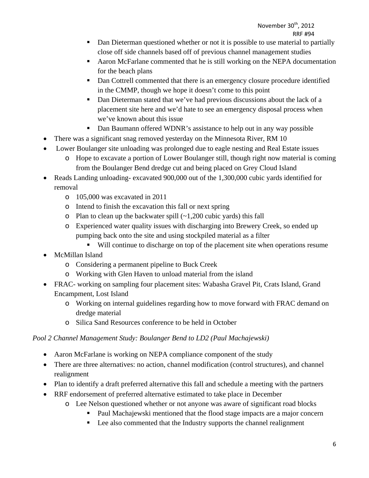- Dan Dieterman questioned whether or not it is possible to use material to partially close off side channels based off of previous channel management studies
- Aaron McFarlane commented that he is still working on the NEPA documentation for the beach plans
- Dan Cottrell commented that there is an emergency closure procedure identified in the CMMP, though we hope it doesn't come to this point
- Dan Dieterman stated that we've had previous discussions about the lack of a placement site here and we'd hate to see an emergency disposal process when we've known about this issue
- Dan Baumann offered WDNR's assistance to help out in any way possible
- There was a significant snag removed yesterday on the Minnesota River, RM 10
- Lower Boulanger site unloading was prolonged due to eagle nesting and Real Estate issues
	- o Hope to excavate a portion of Lower Boulanger still, though right now material is coming from the Boulanger Bend dredge cut and being placed on Grey Cloud Island
- Reads Landing unloading- excavated 900,000 out of the 1,300,000 cubic yards identified for removal
	- o 105,000 was excavated in 2011
	- o Intend to finish the excavation this fall or next spring
	- $\circ$  Plan to clean up the backwater spill  $(\sim 1,200)$  cubic yards) this fall
	- o Experienced water quality issues with discharging into Brewery Creek, so ended up pumping back onto the site and using stockpiled material as a filter
		- Will continue to discharge on top of the placement site when operations resume
- McMillan Island
	- o Considering a permanent pipeline to Buck Creek
	- o Working with Glen Haven to unload material from the island
- FRAC- working on sampling four placement sites: Wabasha Gravel Pit, Crats Island, Grand Encampment, Lost Island
	- o Working on internal guidelines regarding how to move forward with FRAC demand on dredge material
	- o Silica Sand Resources conference to be held in October

## *Pool 2 Channel Management Study: Boulanger Bend to LD2 (Paul Machajewski)*

- Aaron McFarlane is working on NEPA compliance component of the study
- There are three alternatives: no action, channel modification (control structures), and channel realignment
- Plan to identify a draft preferred alternative this fall and schedule a meeting with the partners
- RRF endorsement of preferred alternative estimated to take place in December
	- o Lee Nelson questioned whether or not anyone was aware of significant road blocks
		- Paul Machajewski mentioned that the flood stage impacts are a major concern
			- Lee also commented that the Industry supports the channel realignment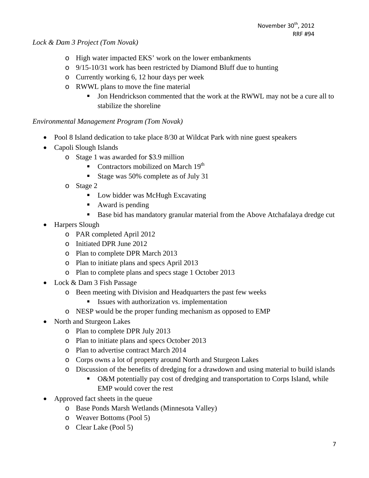*Lock & Dam 3 Project (Tom Novak)* 

- o High water impacted EKS' work on the lower embankments
- o 9/15-10/31 work has been restricted by Diamond Bluff due to hunting
- o Currently working 6, 12 hour days per week
- o RWWL plans to move the fine material
	- If Jon Hendrickson commented that the work at the RWWL may not be a cure all to stabilize the shoreline

#### *Environmental Management Program (Tom Novak)*

- Pool 8 Island dedication to take place 8/30 at Wildcat Park with nine guest speakers
- Capoli Slough Islands
	- o Stage 1 was awarded for \$3.9 million
		- Contractors mobilized on March  $19<sup>th</sup>$
		- Stage was 50% complete as of July 31
	- o Stage 2
		- Low bidder was McHugh Excavating
		- Award is pending
		- Base bid has mandatory granular material from the Above Atchafalaya dredge cut
- Harpers Slough
	- o PAR completed April 2012
	- o Initiated DPR June 2012
	- o Plan to complete DPR March 2013
	- o Plan to initiate plans and specs April 2013
	- o Plan to complete plans and specs stage 1 October 2013
- Lock & Dam 3 Fish Passage
	- o Been meeting with Division and Headquarters the past few weeks
		- **ISSUES** with authorization vs. implementation
	- o NESP would be the proper funding mechanism as opposed to EMP
- North and Sturgeon Lakes
	- o Plan to complete DPR July 2013
	- o Plan to initiate plans and specs October 2013
	- o Plan to advertise contract March 2014
	- o Corps owns a lot of property around North and Sturgeon Lakes
	- o Discussion of the benefits of dredging for a drawdown and using material to build islands
		- O&M potentially pay cost of dredging and transportation to Corps Island, while EMP would cover the rest
- Approved fact sheets in the queue
	- o Base Ponds Marsh Wetlands (Minnesota Valley)
	- o Weaver Bottoms (Pool 5)
	- o Clear Lake (Pool 5)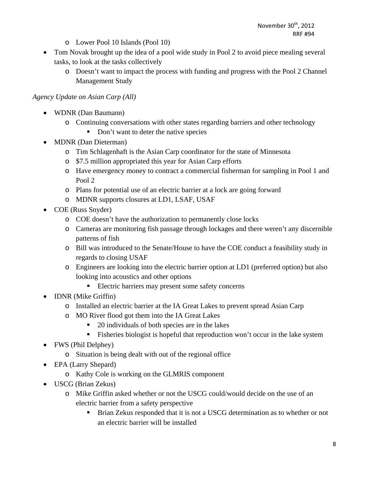- o Lower Pool 10 Islands (Pool 10)
- Tom Novak brought up the idea of a pool wide study in Pool 2 to avoid piece mealing several tasks, to look at the tasks collectively
	- o Doesn't want to impact the process with funding and progress with the Pool 2 Channel Management Study

#### *Agency Update on Asian Carp (All)*

- WDNR (Dan Baumann)
	- o Continuing conversations with other states regarding barriers and other technology
		- Don't want to deter the native species
- MDNR (Dan Dieterman)
	- o Tim Schlagenhaft is the Asian Carp coordinator for the state of Minnesota
	- o \$7.5 million appropriated this year for Asian Carp efforts
	- o Have emergency money to contract a commercial fisherman for sampling in Pool 1 and Pool 2
	- o Plans for potential use of an electric barrier at a lock are going forward
	- o MDNR supports closures at LD1, LSAF, USAF
- COE (Russ Snyder)
	- o COE doesn't have the authorization to permanently close locks
	- o Cameras are monitoring fish passage through lockages and there weren't any discernible patterns of fish
	- o Bill was introduced to the Senate/House to have the COE conduct a feasibility study in regards to closing USAF
	- o Engineers are looking into the electric barrier option at LD1 (preferred option) but also looking into acoustics and other options
		- Electric barriers may present some safety concerns
- IDNR (Mike Griffin)
	- o Installed an electric barrier at the IA Great Lakes to prevent spread Asian Carp
	- o MO River flood got them into the IA Great Lakes
		- 20 individuals of both species are in the lakes
		- Fisheries biologist is hopeful that reproduction won't occur in the lake system
- FWS (Phil Delphey)
	- o Situation is being dealt with out of the regional office
- EPA (Larry Shepard)
	- o Kathy Cole is working on the GLMRIS component
- USCG (Brian Zekus)
	- o Mike Griffin asked whether or not the USCG could/would decide on the use of an electric barrier from a safety perspective
		- Brian Zekus responded that it is not a USCG determination as to whether or not an electric barrier will be installed